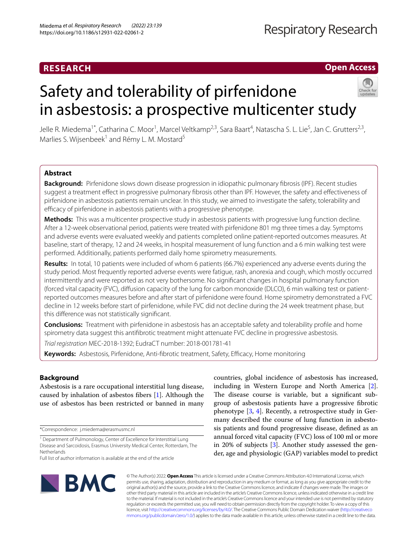## **RESEARCH**

**Open Access**

# Safety and tolerability of pirfenidone in asbestosis: a prospective multicenter study



Jelle R. Miedema<sup>1\*</sup>, Catharina C. Moor<sup>1</sup>, Marcel Veltkamp<sup>2,3</sup>, Sara Baart<sup>4</sup>, Natascha S. L. Lie<sup>5</sup>, Jan C. Grutters<sup>2,3</sup>, Marlies S. Wijsenbeek<sup>1</sup> and Rémy L. M. Mostard<sup>5</sup>

## **Abstract**

**Background:** Pirfenidone slows down disease progression in idiopathic pulmonary fbrosis (IPF). Recent studies suggest a treatment efect in progressive pulmonary fbrosis other than IPF. However, the safety and efectiveness of pirfenidone in asbestosis patients remain unclear. In this study, we aimed to investigate the safety, tolerability and efficacy of pirfenidone in asbestosis patients with a progressive phenotype.

**Methods:** This was a multicenter prospective study in asbestosis patients with progressive lung function decline. After a 12-week observational period, patients were treated with pirfenidone 801 mg three times a day. Symptoms and adverse events were evaluated weekly and patients completed online patient-reported outcomes measures. At baseline, start of therapy, 12 and 24 weeks, in hospital measurement of lung function and a 6 min walking test were performed. Additionally, patients performed daily home spirometry measurements.

**Results:** In total, 10 patients were included of whom 6 patients (66.7%) experienced any adverse events during the study period. Most frequently reported adverse events were fatigue, rash, anorexia and cough, which mostly occurred intermittently and were reported as not very bothersome. No signifcant changes in hospital pulmonary function (forced vital capacity (FVC), difusion capacity of the lung for carbon monoxide (DLCO), 6 min walking test or patientreported outcomes measures before and after start of pirfenidone were found. Home spirometry demonstrated a FVC decline in 12 weeks before start of pirfenidone, while FVC did not decline during the 24 week treatment phase, but this diference was not statistically signifcant.

**Conclusions:** Treatment with pirfenidone in asbestosis has an acceptable safety and tolerability profle and home spirometry data suggest this antifbrotic treatment might attenuate FVC decline in progressive asbestosis.

*Trial registration* MEC-2018-1392; EudraCT number: 2018-001781-41

Keywords: Asbestosis, Pirfenidone, Anti-fibrotic treatment, Safety, Efficacy, Home monitoring

## **Background**

Asbestosis is a rare occupational interstitial lung disease, caused by inhalation of asbestos fbers [\[1](#page-5-0)]. Although the use of asbestos has been restricted or banned in many

\*Correspondence: j.miedema@erasmusmc.nl





© The Author(s) 2022. **Open Access** This article is licensed under a Creative Commons Attribution 4.0 International License, which permits use, sharing, adaptation, distribution and reproduction in any medium or format, as long as you give appropriate credit to the original author(s) and the source, provide a link to the Creative Commons licence, and indicate if changes were made. The images or other third party material in this article are included in the article's Creative Commons licence, unless indicated otherwise in a credit line to the material. If material is not included in the article's Creative Commons licence and your intended use is not permitted by statutory regulation or exceeds the permitted use, you will need to obtain permission directly from the copyright holder. To view a copy of this licence, visit [http://creativecommons.org/licenses/by/4.0/.](http://creativecommons.org/licenses/by/4.0/) The Creative Commons Public Domain Dedication waiver ([http://creativeco](http://creativecommons.org/publicdomain/zero/1.0/) [mmons.org/publicdomain/zero/1.0/](http://creativecommons.org/publicdomain/zero/1.0/)) applies to the data made available in this article, unless otherwise stated in a credit line to the data.

<sup>&</sup>lt;sup>1</sup> Department of Pulmonology, Center of Excellence for Interstitial Lung Disease and Sarcoidosis, Erasmus University Medical Center, Rotterdam, The **Netherlands** 

Full list of author information is available at the end of the article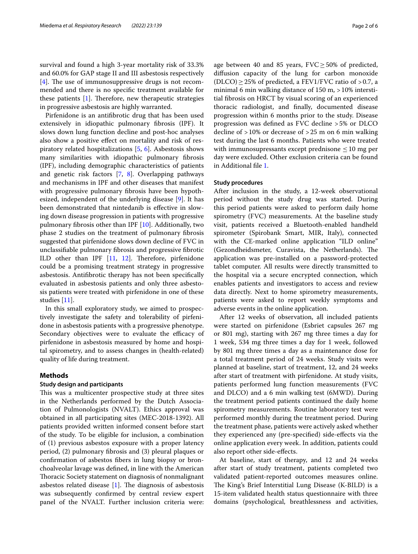survival and found a high 3-year mortality risk of 33.3% and 60.0% for GAP stage II and III asbestosis respectively  $[4]$  $[4]$ . The use of immunosuppressive drugs is not recommended and there is no specifc treatment available for these patients  $[1]$  $[1]$ . Therefore, new therapeutic strategies in progressive asbestosis are highly warranted.

Pirfenidone is an antifbrotic drug that has been used extensively in idiopathic pulmonary fbrosis (IPF). It slows down lung function decline and post-hoc analyses also show a positive efect on mortality and risk of respiratory related hospitalizations [\[5](#page-5-4), [6](#page-5-5)]. Asbestosis shows many similarities with idiopathic pulmonary fbrosis (IPF), including demographic characteristics of patients and genetic risk factors [\[7](#page-5-6), [8\]](#page-5-7). Overlapping pathways and mechanisms in IPF and other diseases that manifest with progressive pulmonary fbrosis have been hypothesized, independent of the underlying disease [\[9](#page-5-8)]. It has been demonstrated that nintedanib is efective in slowing down disease progression in patients with progressive pulmonary fbrosis other than IPF [\[10](#page-5-9)]. Additionally, two phase 2 studies on the treatment of pulmonary fbrosis suggested that pirfenidone slows down decline of FVC in unclassifable pulmonary fbrosis and progressive fbrotic ILD other than IPF  $[11, 12]$  $[11, 12]$  $[11, 12]$  $[11, 12]$ . Therefore, pirfenidone could be a promising treatment strategy in progressive asbestosis. Antifbrotic therapy has not been specifcally evaluated in asbestosis patients and only three asbestosis patients were treated with pirfenidone in one of these studies [[11\]](#page-5-10).

In this small exploratory study, we aimed to prospectively investigate the safety and tolerability of pirfenidone in asbestosis patients with a progressive phenotype. Secondary objectives were to evaluate the efficacy of pirfenidone in asbestosis measured by home and hospital spirometry, and to assess changes in (health-related) quality of life during treatment.

## **Methods**

## **Study design and participants**

This was a multicenter prospective study at three sites in the Netherlands performed by the Dutch Association of Pulmonologists (NVALT). Ethics approval was obtained in all participating sites (MEC-2018-1392). All patients provided written informed consent before start of the study. To be eligible for inclusion, a combination of (1) previous asbestos exposure with a proper latency period, (2) pulmonary fbrosis and (3) pleural plaques or confrmation of asbestos fbers in lung biopsy or bronchoalveolar lavage was defned, in line with the American Thoracic Society statement on diagnosis of nonmalignant asbestos related disease  $[1]$  $[1]$ . The diagnosis of asbestosis was subsequently confrmed by central review expert panel of the NVALT. Further inclusion criteria were:

age between 40 and 85 years,  $FVC \ge 50\%$  of predicted, difusion capacity of the lung for carbon monoxide  $(DLCO) \geq 25\%$  of predicted, a FEV1/FVC ratio of >0.7, a minimal 6 min walking distance of 150 m, > 10% interstitial fbrosis on HRCT by visual scoring of an experienced thoracic radiologist, and fnally, documented disease progression within 6 months prior to the study. Disease progression was defned as FVC decline >5% or DLCO decline of  $>10\%$  or decrease of  $>25$  m on 6 min walking test during the last 6 months. Patients who were treated with immunosupressants except prednisone  $\leq 10$  mg per day were excluded. Other exclusion criteria can be found in Additional fle [1.](#page-5-12)

## **Study procedures**

After inclusion in the study, a 12-week observational period without the study drug was started. During this period patients were asked to perform daily home spirometry (FVC) measurements. At the baseline study visit, patients received a Bluetooth-enabled handheld spirometer (Spirobank Smart, MIR, Italy), connected with the CE-marked online application "ILD online" (Gezondheidsmeter, Curavista, the Netherlands). The application was pre-installed on a password-protected tablet computer. All results were directly transmitted to the hospital via a secure encrypted connection, which enables patients and investigators to access and review data directly. Next to home spirometry measurements, patients were asked to report weekly symptoms and adverse events in the online application.

After 12 weeks of observation, all included patients were started on pirfenidone (Esbriet capsules 267 mg or 801 mg), starting with 267 mg three times a day for 1 week, 534 mg three times a day for 1 week, followed by 801 mg three times a day as a maintenance dose for a total treatment period of 24 weeks. Study visits were planned at baseline, start of treatment, 12, and 24 weeks after start of treatment with pirfenidone. At study visits, patients performed lung function measurements (FVC and DLCO) and a 6 min walking test (6MWD). During the treatment period patients continued the daily home spirometry measurements. Routine laboratory test were performed monthly during the treatment period. During the treatment phase, patients were actively asked whether they experienced any (pre-specifed) side-efects via the online application every week. In addition, patients could also report other side-efects.

At baseline, start of therapy, and 12 and 24 weeks after start of study treatment, patients completed two validated patient-reported outcomes measures online. The King's Brief Interstitial Lung Disease (K-BILD) is a 15-item validated health status questionnaire with three domains (psychological, breathlessness and activities,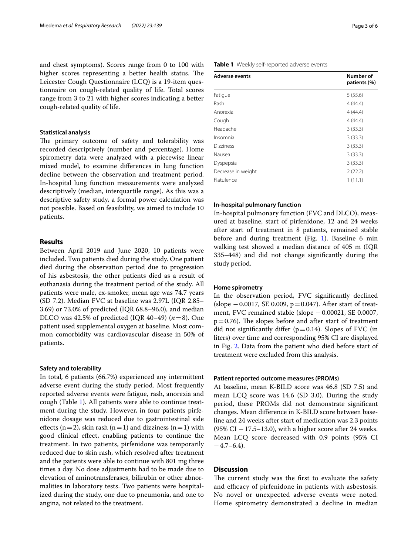and chest symptoms). Scores range from 0 to 100 with higher scores representing a better health status. The Leicester Cough Questionnaire (LCQ) is a 19-item questionnaire on cough-related quality of life. Total scores range from 3 to 21 with higher scores indicating a better cough-related quality of life.

## **Statistical analysis**

The primary outcome of safety and tolerability was recorded descriptively (number and percentage). Home spirometry data were analyzed with a piecewise linear mixed model, to examine diferences in lung function decline between the observation and treatment period. In-hospital lung function measurements were analyzed descriptively (median, interquartile range). As this was a descriptive safety study, a formal power calculation was not possible. Based on feasibility, we aimed to include 10 patients.

## **Results**

Between April 2019 and June 2020, 10 patients were included. Two patients died during the study. One patient died during the observation period due to progression of his asbestosis, the other patients died as a result of euthanasia during the treatment period of the study. All patients were male, ex-smoker, mean age was 74.7 years (SD 7.2). Median FVC at baseline was 2.97L (IQR 2.85– 3.69) or 73.0% of predicted (IQR 68.8–96.0), and median DLCO was 42.5% of predicted (IQR 40–49)  $(n=8)$ . One patient used supplemental oxygen at baseline. Most common comorbidity was cardiovascular disease in 50% of patients.

## **Safety and tolerability**

In total, 6 patients (66.7%) experienced any intermittent adverse event during the study period. Most frequently reported adverse events were fatigue, rash, anorexia and cough (Table [1\)](#page-2-0). All patients were able to continue treatment during the study. However, in four patients pirfenidone dosage was reduced due to gastrointestinal side effects (n=2), skin rash (n=1) and dizziness (n=1) with good clinical efect, enabling patients to continue the treatment. In two patients, pirfenidone was temporarily reduced due to skin rash, which resolved after treatment and the patients were able to continue with 801 mg three times a day. No dose adjustments had to be made due to elevation of aminotransferases, bilirubin or other abnormalities in laboratory tests. Two patients were hospitalized during the study, one due to pneumonia, and one to angina, not related to the treatment.

| Page 3 of 6 |  |
|-------------|--|
|-------------|--|

## <span id="page-2-0"></span>**Table 1** Weekly self-reported adverse events

| <b>Adverse events</b> | Number of<br>patients (%) |
|-----------------------|---------------------------|
| Fatique               | 5(55.6)                   |
| Rash                  | 4(44.4)                   |
| Anorexia              | 4(44.4)                   |
| Cough                 | 4(44.4)                   |
| Headache              | 3(33.3)                   |
| Insomnia              | 3(33.3)                   |
| <b>Dizziness</b>      | 3(33.3)                   |
| Nausea                | 3(33.3)                   |
| Dyspepsia             | 3(33.3)                   |
| Decrease in weight    | 2(22.2)                   |
| Flatulence            | 1(11.1)                   |

## **In‑hospital pulmonary function**

In-hospital pulmonary function (FVC and DLCO), measured at baseline, start of pirfenidone, 12 and 24 weeks after start of treatment in 8 patients, remained stable before and during treatment (Fig. [1](#page-3-0)). Baseline 6 min walking test showed a median distance of 405 m (IQR 335–448) and did not change signifcantly during the study period.

## **Home spirometry**

In the observation period, FVC signifcantly declined (slope −0.0017, SE 0.009, p=0.047). After start of treatment, FVC remained stable (slope −0.00021, SE 0.0007,  $p=0.76$ ). The slopes before and after start of treatment did not significantly differ ( $p=0.14$ ). Slopes of FVC (in liters) over time and corresponding 95% CI are displayed in Fig. [2.](#page-4-0) Data from the patient who died before start of treatment were excluded from this analysis.

## **Patient reported outcome measures (PROMs)**

At baseline, mean K-BILD score was 46.8 (SD 7.5) and mean LCQ score was 14.6 (SD 3.0). During the study period, these PROMs did not demonstrate signifcant changes. Mean diference in K-BILD score between baseline and 24 weeks after start of medication was 2.3 points (95% CI  $-17.5-13.0$ ), with a higher score after 24 weeks. Mean LCQ score decreased with 0.9 points (95% CI  $-4.7-6.4$ ).

## **Discussion**

The current study was the first to evaluate the safety and efficacy of pirfenidone in patients with asbestosis. No novel or unexpected adverse events were noted. Home spirometry demonstrated a decline in median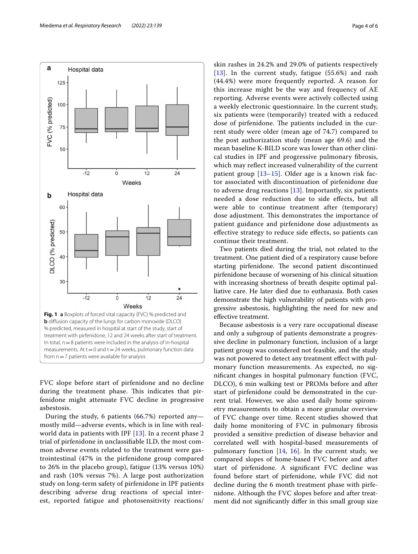

<span id="page-3-0"></span>FVC slope before start of pirfenidone and no decline during the treatment phase. This indicates that pirfenidone might attenuate FVC decline in progressive asbestosis.

During the study, 6 patients (66.7%) reported any mostly mild—adverse events, which is in line with realworld data in patients with IPF [[13\]](#page-5-13). In a recent phase 2 trial of pirfenidone in unclassifable ILD, the most common adverse events related to the treatment were gastrointestinal (47% in the pirfenidone group compared to 26% in the placebo group), fatigue (13% versus 10%) and rash (10% versus 7%). A large post authorization study on long-term safety of pirfenidone in IPF patients describing adverse drug reactions of special interest, reported fatigue and photosensitivity reactions/ skin rashes in 24.2% and 29.0% of patients respectively [[13](#page-5-13)]. In the current study, fatigue (55.6%) and rash (44.4%) were more frequently reported. A reason for this increase might be the way and frequency of AE reporting. Adverse events were actively collected using a weekly electronic questionnaire. In the current study, six patients were (temporarily) treated with a reduced dose of pirfenidone. The patients included in the current study were older (mean age of 74.7) compared to the post authorization study (mean age 69.6) and the mean baseline K-BILD score was lower than other clinical studies in IPF and progressive pulmonary fbrosis, which may refect increased vulnerability of the current patient group [\[13](#page-5-13)[–15](#page-5-14)]. Older age is a known risk factor associated with discontinuation of pirfenidone due to adverse drug reactions [\[13](#page-5-13)]. Importantly, six patients needed a dose reduction due to side efects, but all were able to continue treatment after (temporary) dose adjustment. This demonstrates the importance of patient guidance and pirfenidone dose adjustments as efective strategy to reduce side efects, so patients can continue their treatment.

Two patients died during the trial, not related to the treatment. One patient died of a respiratory cause before starting pirfenidone. The second patient discontinued pirfenidone because of worsening of his clinical situation with increasing shortness of breath despite optimal palliative care. He later died due to euthanasia. Both cases demonstrate the high vulnerability of patients with progressive asbestosis, highlighting the need for new and efective treatment.

Because asbestosis is a very rare occupational disease and only a subgroup of patients demonstrate a progressive decline in pulmonary function, inclusion of a large patient group was considered not feasible, and the study was not powered to detect any treatment effect with pulmonary function measurements. As expected, no signifcant changes in hospital pulmonary function (FVC, DLCO), 6 min walking test or PROMs before and after start of pirfenidone could be demonstrated in the current trial. However, we also used daily home spirometry measurements to obtain a more granular overview of FVC change over time. Recent studies showed that daily home monitoring of FVC in pulmonary fbrosis provided a sensitive prediction of disease behavior and correlated well with hospital-based measurements of pulmonary function [\[14](#page-5-15), [16\]](#page-5-16). In the current study, we compared slopes of home-based FVC before and after start of pirfenidone. A signifcant FVC decline was found before start of pirfenidone, while FVC did not decline during the 6 month treatment phase with pirfenidone. Although the FVC slopes before and after treatment did not signifcantly difer in this small group size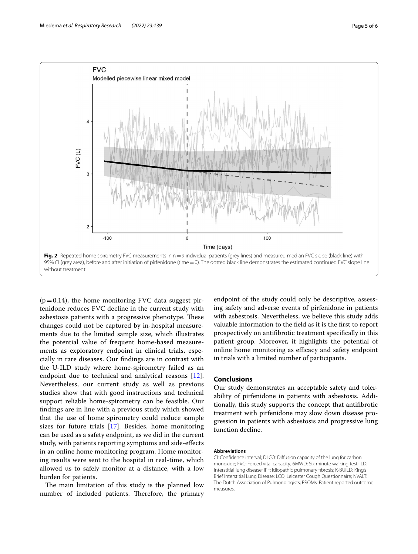

<span id="page-4-0"></span> $(p=0.14)$ , the home monitoring FVC data suggest pirfenidone reduces FVC decline in the current study with asbestosis patients with a progressive phenotype. These changes could not be captured by in-hospital measurements due to the limited sample size, which illustrates the potential value of frequent home-based measurements as exploratory endpoint in clinical trials, especially in rare diseases. Our fndings are in contrast with the U-ILD study where home-spirometry failed as an endpoint due to technical and analytical reasons [\[12](#page-5-11)]. Nevertheless, our current study as well as previous studies show that with good instructions and technical support reliable home-spirometry can be feasible. Our fndings are in line with a previous study which showed that the use of home spirometry could reduce sample sizes for future trials [[17\]](#page-5-17). Besides, home monitoring can be used as a safety endpoint, as we did in the current study, with patients reporting symptoms and side-efects in an online home monitoring program. Home monitoring results were sent to the hospital in real-time, which allowed us to safely monitor at a distance, with a low burden for patients.

The main limitation of this study is the planned low number of included patients. Therefore, the primary

endpoint of the study could only be descriptive, assessing safety and adverse events of pirfenidone in patients with asbestosis. Nevertheless, we believe this study adds valuable information to the feld as it is the frst to report prospectively on antifbrotic treatment specifcally in this patient group. Moreover, it highlights the potential of online home monitoring as efficacy and safety endpoint in trials with a limited number of participants.

## **Conclusions**

Our study demonstrates an acceptable safety and tolerability of pirfenidone in patients with asbestosis. Additionally, this study supports the concept that antifbrotic treatment with pirfenidone may slow down disease progression in patients with asbestosis and progressive lung function decline.

#### **Abbreviations**

CI: Confdence interval; DLCO: Difusion capacity of the lung for carbon monoxide; FVC: Forced vital capacity; 6MWD: Six minute walking test; ILD: Interstitial lung disease; IPF: Idiopathic pulmonary fbrosis; K-BUILD: King's Brief Interstitial Lung Disease; LCQ: Leicester Cough Questionnaire; NVALT: The Dutch Association of Pulmonologists; PROMs: Patient reported outcome measures.